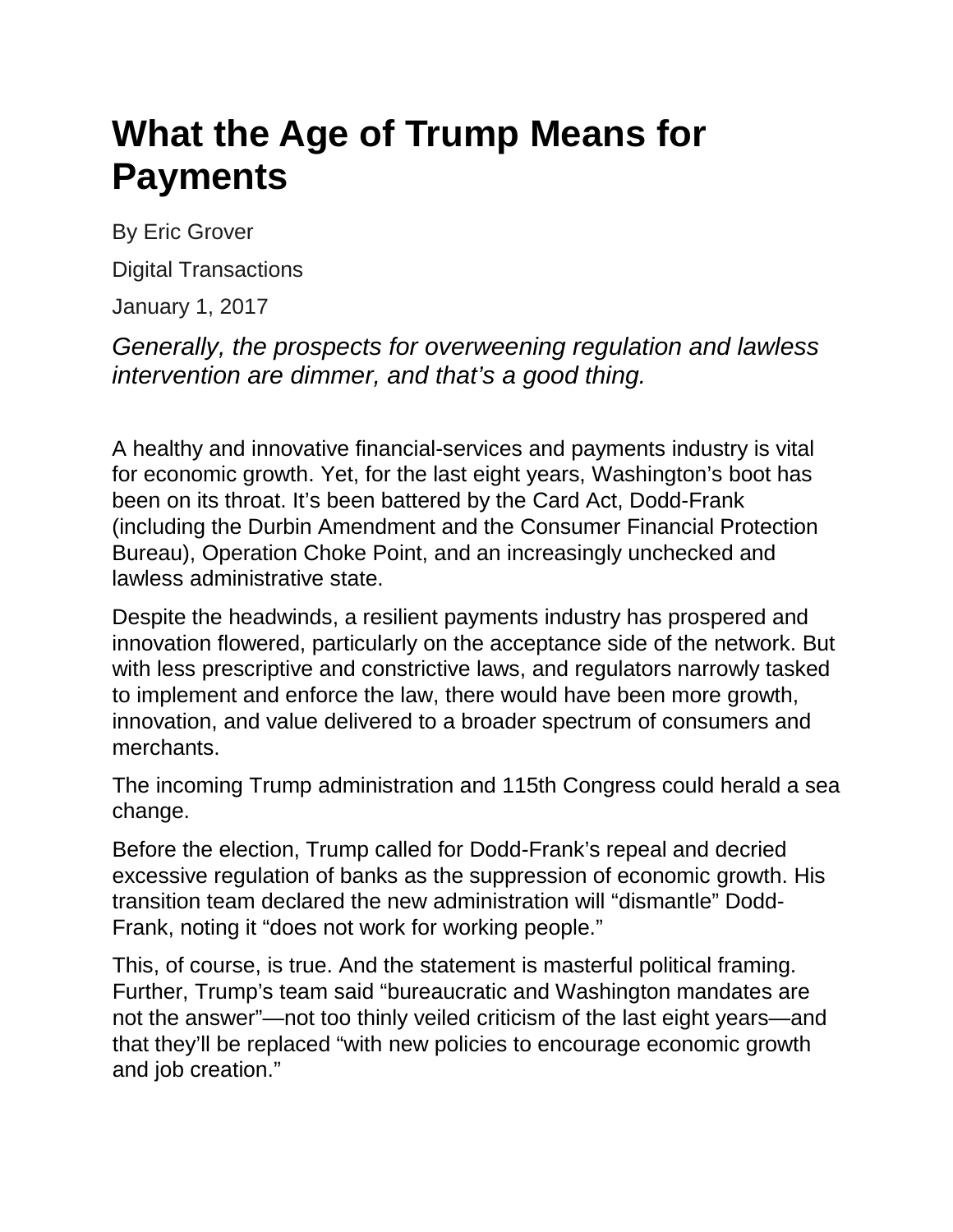# **What the Age of Trump Means for Payments**

By Eric Grover

Digital Transactions

January 1, 2017

*Generally, the prospects for overweening regulation and lawless intervention are dimmer, and that's a good thing.*

A healthy and innovative financial-services and payments industry is vital for economic growth. Yet, for the last eight years, Washington's boot has been on its throat. It's been battered by the Card Act, Dodd-Frank (including the Durbin Amendment and the Consumer Financial Protection Bureau), Operation Choke Point, and an increasingly unchecked and lawless administrative state.

Despite the headwinds, a resilient payments industry has prospered and innovation flowered, particularly on the acceptance side of the network. But with less prescriptive and constrictive laws, and regulators narrowly tasked to implement and enforce the law, there would have been more growth, innovation, and value delivered to a broader spectrum of consumers and merchants.

The incoming Trump administration and 115th Congress could herald a sea change.

Before the election, Trump called for Dodd-Frank's repeal and decried excessive regulation of banks as the suppression of economic growth. His transition team declared the new administration will "dismantle" Dodd-Frank, noting it "does not work for working people."

This, of course, is true. And the statement is masterful political framing. Further, Trump's team said "bureaucratic and Washington mandates are not the answer"—not too thinly veiled criticism of the last eight years—and that they'll be replaced "with new policies to encourage economic growth and job creation."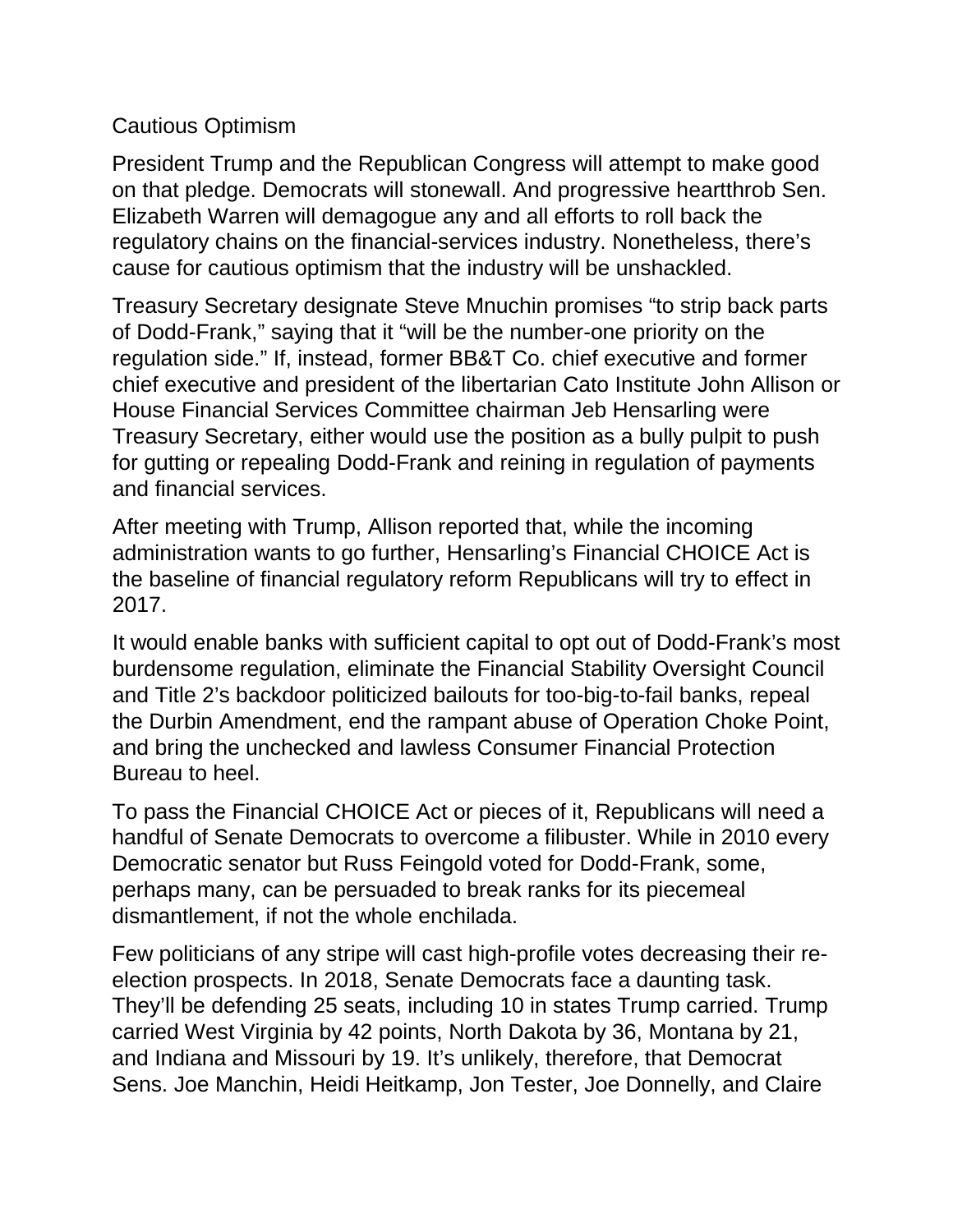## Cautious Optimism

President Trump and the Republican Congress will attempt to make good on that pledge. Democrats will stonewall. And progressive heartthrob Sen. Elizabeth Warren will demagogue any and all efforts to roll back the regulatory chains on the financial-services industry. Nonetheless, there's cause for cautious optimism that the industry will be unshackled.

Treasury Secretary designate Steve Mnuchin promises "to strip back parts of Dodd-Frank," saying that it "will be the number-one priority on the regulation side." If, instead, former BB&T Co. chief executive and former chief executive and president of the libertarian Cato Institute John Allison or House Financial Services Committee chairman Jeb Hensarling were Treasury Secretary, either would use the position as a bully pulpit to push for gutting or repealing Dodd-Frank and reining in regulation of payments and financial services.

After meeting with Trump, Allison reported that, while the incoming administration wants to go further, Hensarling's Financial CHOICE Act is the baseline of financial regulatory reform Republicans will try to effect in 2017.

It would enable banks with sufficient capital to opt out of Dodd-Frank's most burdensome regulation, eliminate the Financial Stability Oversight Council and Title 2's backdoor politicized bailouts for too-big-to-fail banks, repeal the Durbin Amendment, end the rampant abuse of Operation Choke Point, and bring the unchecked and lawless Consumer Financial Protection Bureau to heel.

To pass the Financial CHOICE Act or pieces of it, Republicans will need a handful of Senate Democrats to overcome a filibuster. While in 2010 every Democratic senator but Russ Feingold voted for Dodd-Frank, some, perhaps many, can be persuaded to break ranks for its piecemeal dismantlement, if not the whole enchilada.

Few politicians of any stripe will cast high-profile votes decreasing their reelection prospects. In 2018, Senate Democrats face a daunting task. They'll be defending 25 seats, including 10 in states Trump carried. Trump carried West Virginia by 42 points, North Dakota by 36, Montana by 21, and Indiana and Missouri by 19. It's unlikely, therefore, that Democrat Sens. Joe Manchin, Heidi Heitkamp, Jon Tester, Joe Donnelly, and Claire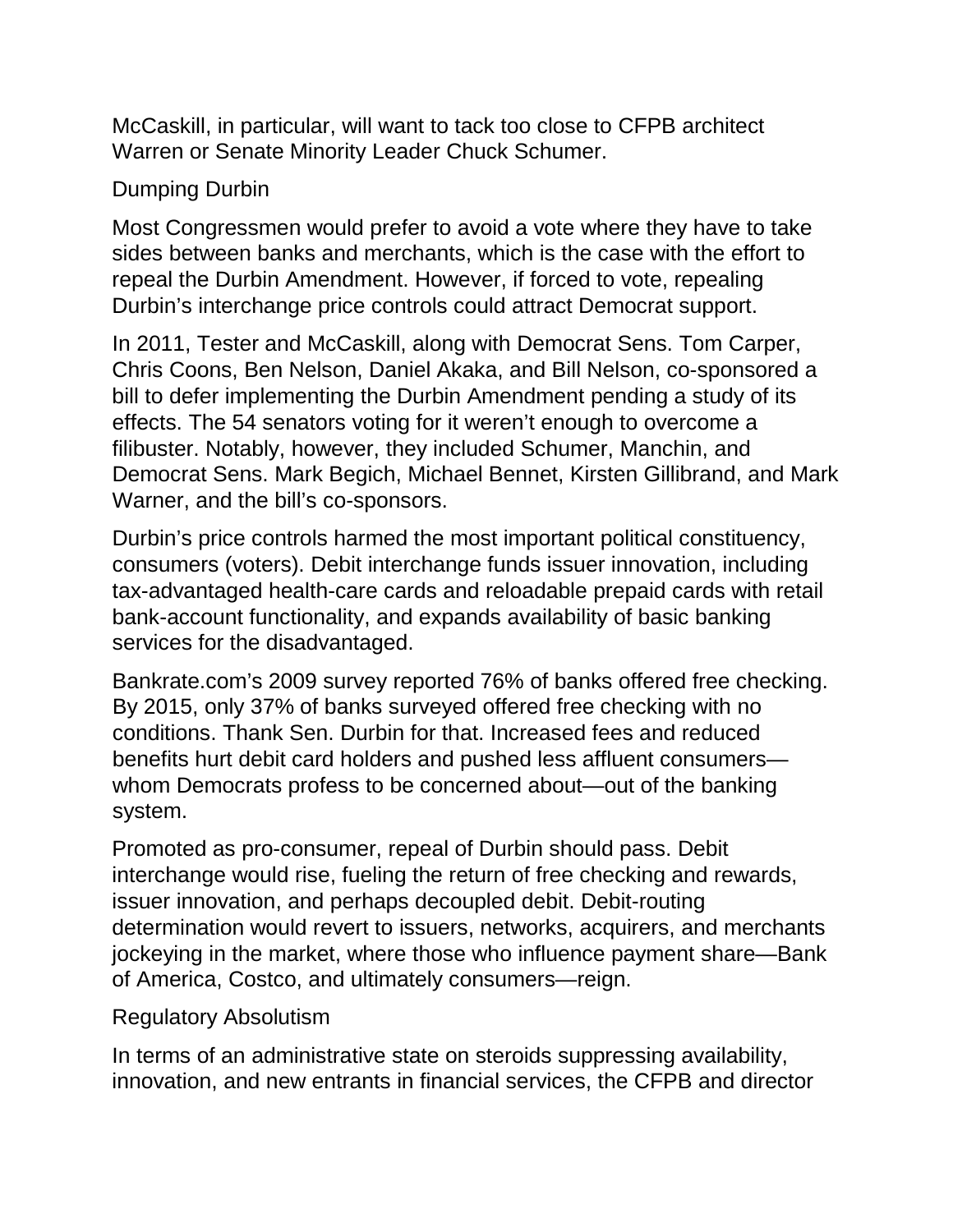McCaskill, in particular, will want to tack too close to CFPB architect Warren or Senate Minority Leader Chuck Schumer.

## Dumping Durbin

Most Congressmen would prefer to avoid a vote where they have to take sides between banks and merchants, which is the case with the effort to repeal the Durbin Amendment. However, if forced to vote, repealing Durbin's interchange price controls could attract Democrat support.

In 2011, Tester and McCaskill, along with Democrat Sens. Tom Carper, Chris Coons, Ben Nelson, Daniel Akaka, and Bill Nelson, co-sponsored a bill to defer implementing the Durbin Amendment pending a study of its effects. The 54 senators voting for it weren't enough to overcome a filibuster. Notably, however, they included Schumer, Manchin, and Democrat Sens. Mark Begich, Michael Bennet, Kirsten Gillibrand, and Mark Warner, and the bill's co-sponsors.

Durbin's price controls harmed the most important political constituency, consumers (voters). Debit interchange funds issuer innovation, including tax-advantaged health-care cards and reloadable prepaid cards with retail bank-account functionality, and expands availability of basic banking services for the disadvantaged.

Bankrate.com's 2009 survey reported 76% of banks offered free checking. By 2015, only 37% of banks surveyed offered free checking with no conditions. Thank Sen. Durbin for that. Increased fees and reduced benefits hurt debit card holders and pushed less affluent consumers whom Democrats profess to be concerned about—out of the banking system.

Promoted as pro-consumer, repeal of Durbin should pass. Debit interchange would rise, fueling the return of free checking and rewards, issuer innovation, and perhaps decoupled debit. Debit-routing determination would revert to issuers, networks, acquirers, and merchants jockeying in the market, where those who influence payment share—Bank of America, Costco, and ultimately consumers—reign.

#### Regulatory Absolutism

In terms of an administrative state on steroids suppressing availability, innovation, and new entrants in financial services, the CFPB and director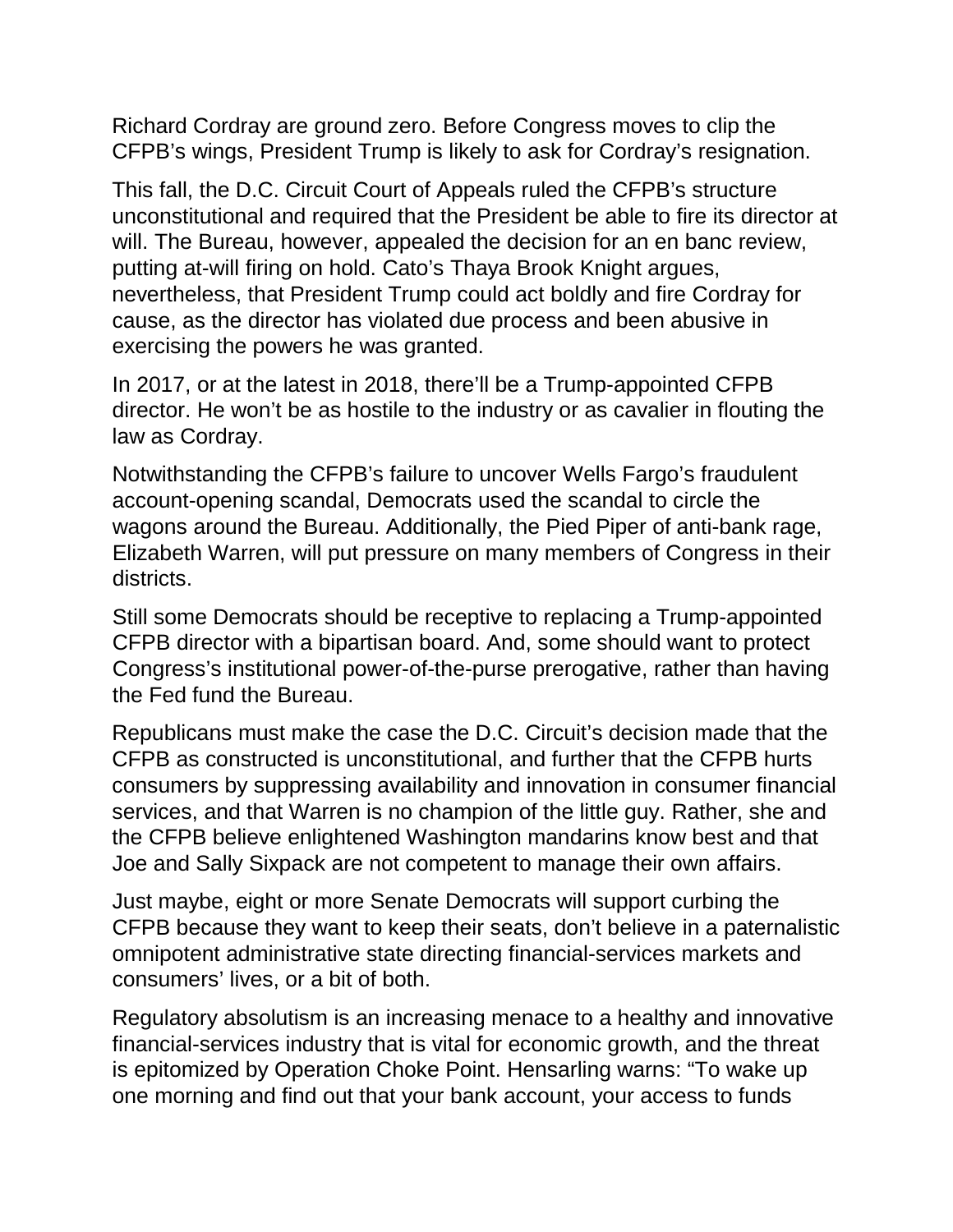Richard Cordray are ground zero. Before Congress moves to clip the CFPB's wings, President Trump is likely to ask for Cordray's resignation.

This fall, the D.C. Circuit Court of Appeals ruled the CFPB's structure unconstitutional and required that the President be able to fire its director at will. The Bureau, however, appealed the decision for an en banc review, putting at-will firing on hold. Cato's Thaya Brook Knight argues, nevertheless, that President Trump could act boldly and fire Cordray for cause, as the director has violated due process and been abusive in exercising the powers he was granted.

In 2017, or at the latest in 2018, there'll be a Trump-appointed CFPB director. He won't be as hostile to the industry or as cavalier in flouting the law as Cordray.

Notwithstanding the CFPB's failure to uncover Wells Fargo's fraudulent account-opening scandal, Democrats used the scandal to circle the wagons around the Bureau. Additionally, the Pied Piper of anti-bank rage, Elizabeth Warren, will put pressure on many members of Congress in their districts.

Still some Democrats should be receptive to replacing a Trump-appointed CFPB director with a bipartisan board. And, some should want to protect Congress's institutional power-of-the-purse prerogative, rather than having the Fed fund the Bureau.

Republicans must make the case the D.C. Circuit's decision made that the CFPB as constructed is unconstitutional, and further that the CFPB hurts consumers by suppressing availability and innovation in consumer financial services, and that Warren is no champion of the little guy. Rather, she and the CFPB believe enlightened Washington mandarins know best and that Joe and Sally Sixpack are not competent to manage their own affairs.

Just maybe, eight or more Senate Democrats will support curbing the CFPB because they want to keep their seats, don't believe in a paternalistic omnipotent administrative state directing financial-services markets and consumers' lives, or a bit of both.

Regulatory absolutism is an increasing menace to a healthy and innovative financial-services industry that is vital for economic growth, and the threat is epitomized by Operation Choke Point. Hensarling warns: "To wake up one morning and find out that your bank account, your access to funds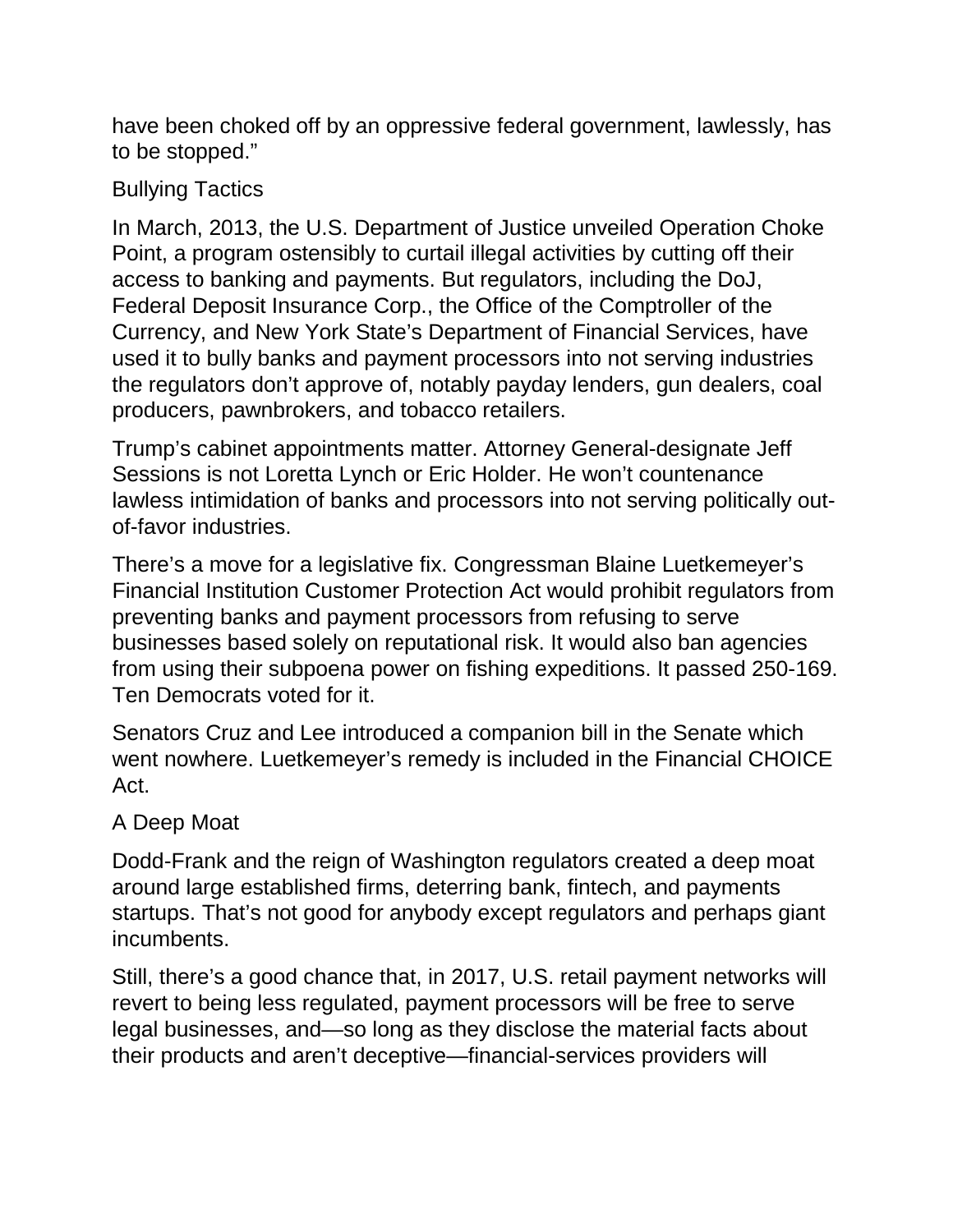have been choked off by an oppressive federal government, lawlessly, has to be stopped."

# Bullying Tactics

In March, 2013, the U.S. Department of Justice unveiled Operation Choke Point, a program ostensibly to curtail illegal activities by cutting off their access to banking and payments. But regulators, including the DoJ, Federal Deposit Insurance Corp., the Office of the Comptroller of the Currency, and New York State's Department of Financial Services, have used it to bully banks and payment processors into not serving industries the regulators don't approve of, notably payday lenders, gun dealers, coal producers, pawnbrokers, and tobacco retailers.

Trump's cabinet appointments matter. Attorney General-designate Jeff Sessions is not Loretta Lynch or Eric Holder. He won't countenance lawless intimidation of banks and processors into not serving politically outof-favor industries.

There's a move for a legislative fix. Congressman Blaine Luetkemeyer's Financial Institution Customer Protection Act would prohibit regulators from preventing banks and payment processors from refusing to serve businesses based solely on reputational risk. It would also ban agencies from using their subpoena power on fishing expeditions. It passed 250-169. Ten Democrats voted for it.

Senators Cruz and Lee introduced a companion bill in the Senate which went nowhere. Luetkemeyer's remedy is included in the Financial CHOICE Act.

## A Deep Moat

Dodd-Frank and the reign of Washington regulators created a deep moat around large established firms, deterring bank, fintech, and payments startups. That's not good for anybody except regulators and perhaps giant incumbents.

Still, there's a good chance that, in 2017, U.S. retail payment networks will revert to being less regulated, payment processors will be free to serve legal businesses, and—so long as they disclose the material facts about their products and aren't deceptive—financial-services providers will